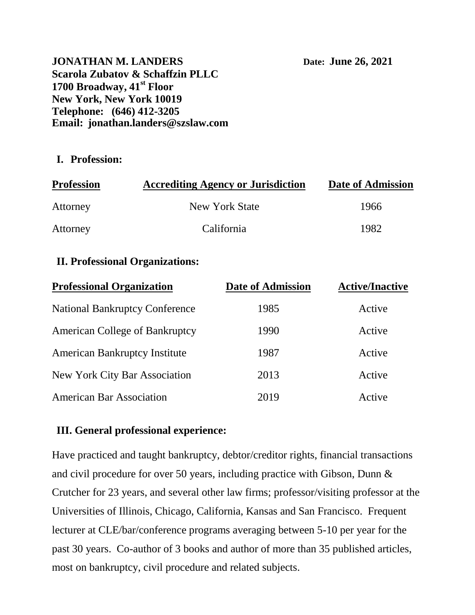**JONATHAN M. LANDERS** Date: **June 26, 2021 Scarola Zubatov & Schaffzin PLLC 1700 Broadway, 41st Floor New York, New York 10019 Telephone: (646) 412-3205 Email: jonathan.landers@szslaw.com**

### **I. Profession:**

| <b>Profession</b> | <b>Accrediting Agency or Jurisdiction</b> | Date of Admission |
|-------------------|-------------------------------------------|-------------------|
| Attorney          | New York State                            | 1966              |
| Attorney          | California                                | 1982              |

# **II. Professional Organizations:**

| <b>Professional Organization</b>      | <b>Date of Admission</b> | <b>Active/Inactive</b><br>Active |
|---------------------------------------|--------------------------|----------------------------------|
| <b>National Bankruptcy Conference</b> | 1985                     |                                  |
| <b>American College of Bankruptcy</b> | 1990                     | Active                           |
| <b>American Bankruptcy Institute</b>  | 1987                     | Active                           |
| <b>New York City Bar Association</b>  | 2013                     | Active                           |
| <b>American Bar Association</b>       | 2019                     | Active                           |

# **III. General professional experience:**

Have practiced and taught bankruptcy, debtor/creditor rights, financial transactions and civil procedure for over 50 years, including practice with Gibson, Dunn & Crutcher for 23 years, and several other law firms; professor/visiting professor at the Universities of Illinois, Chicago, California, Kansas and San Francisco. Frequent lecturer at CLE/bar/conference programs averaging between 5-10 per year for the past 30 years. Co-author of 3 books and author of more than 35 published articles, most on bankruptcy, civil procedure and related subjects.